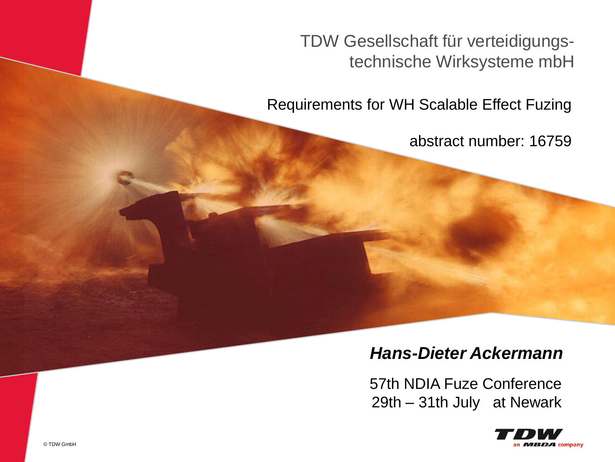TDW Gesellschaft für verteidigungstechnische Wirksysteme mbH

Requirements for WH Scalable Effect Fuzing

abstract number: 16759

#### *Hans-Dieter Ackermann*

57th NDIA Fuze Conference 29th – 31th July at Newark



© TDW Gesellschaft für verteidigungstechnische Wirksysteme mbH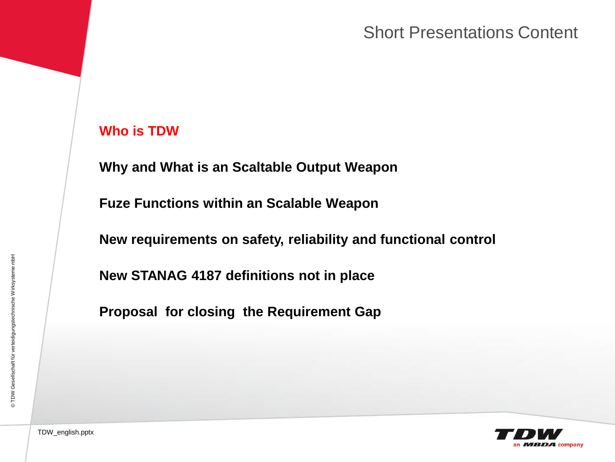#### Short Presentations Content

#### **Who is TDW**

**Why and What is an Scaltable Output Weapon**

**Fuze Functions within an Scalable Weapon**

**New requirements on safety, reliability and functional control**

**New STANAG 4187 definitions not in place**

**Proposal for closing the Requirement Gap** 

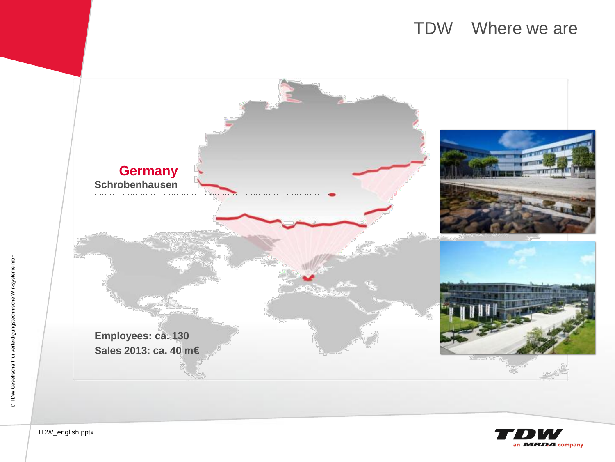#### TDW Where we are



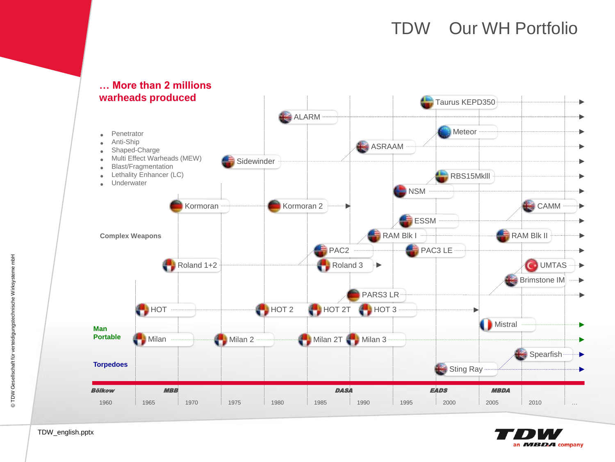### TDW Our WH Portfolio





## **… More than 2 millions**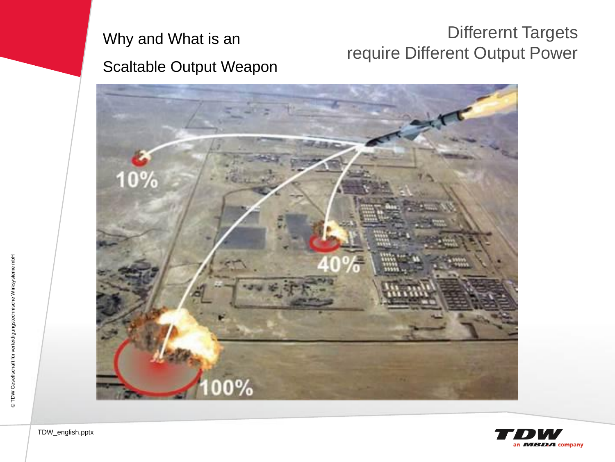## Why and What is an Scaltable Output Weapon

### Differernt Targets require Different Output Power

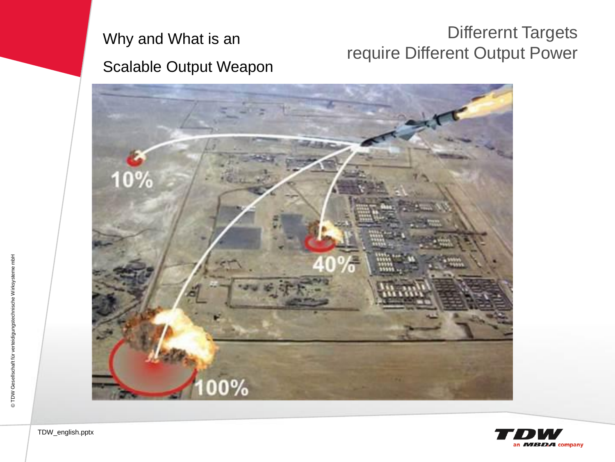

### Differernt Targets require Different Output Power



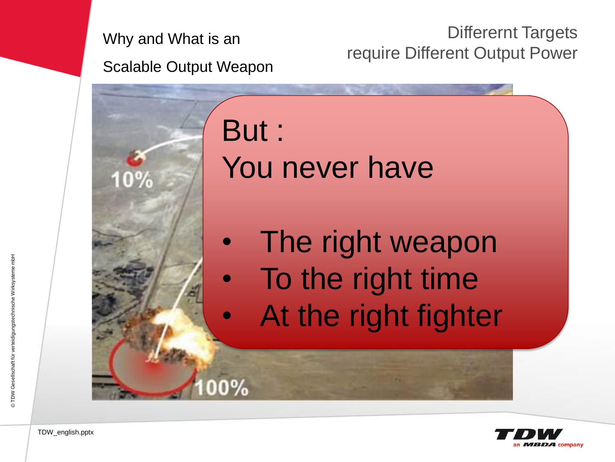Why and What is an

Differernt Targets require Different Output Power

Scalable Output Weapon

But : You never have

- The right weapon
- To the right time
	- At the right fighter

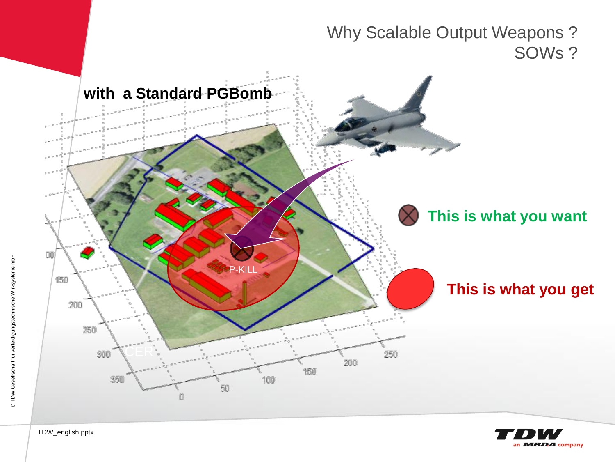



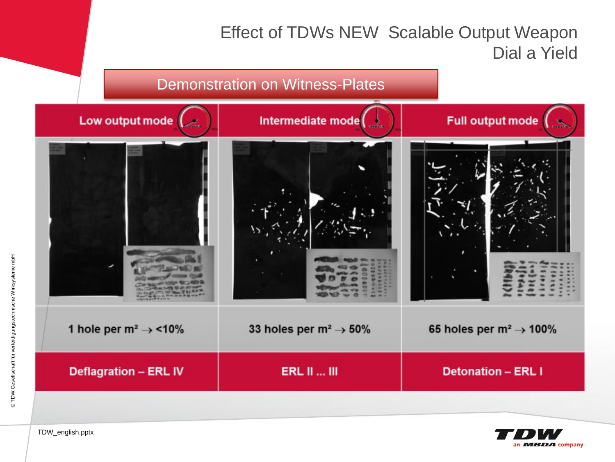#### Effect of TDWs NEW Scalable Output Weapon Dial a Yield



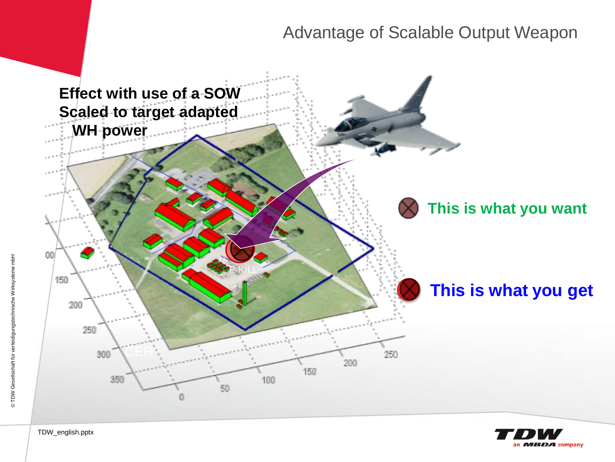#### Advantage of Scalable Output Weapon



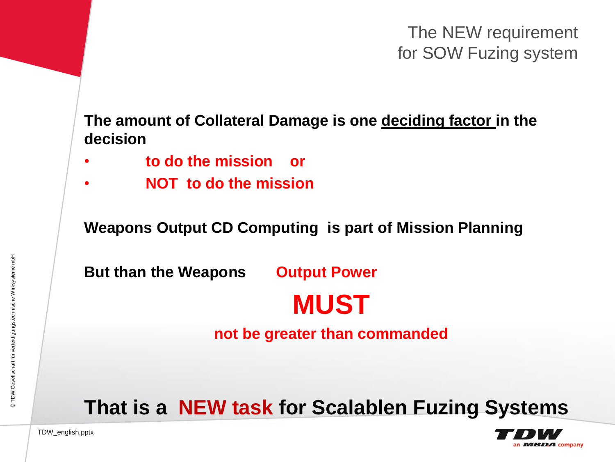The NEW requirement for SOW Fuzing system

**The amount of Collateral Damage is one deciding factor in the decision**

- **to do the mission or**
- **NOT to do the mission**

**Weapons Output CD Computing is part of Mission Planning**

**But than the Weapons Output Power**

# **MUST**

**not be greater than commanded**

**That is a NEW task for Scalablen Fuzing Systems**

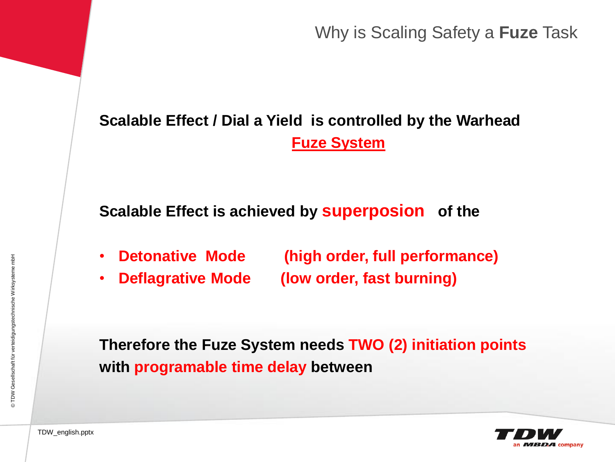Why is Scaling Safety a **Fuze** Task

## **Scalable Effect / Dial a Yield is controlled by the Warhead Fuze System**

**Scalable Effect is achieved by superposion of the**

- **Detonative Mode (high order, full performance)**
- **Deflagrative Mode (low order, fast burning)**

**Therefore the Fuze System needs TWO (2) initiation points with programable time delay between**

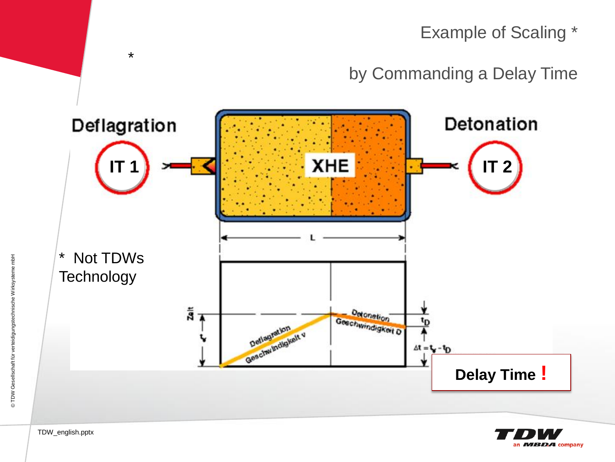





TDW\_english.pptx

\*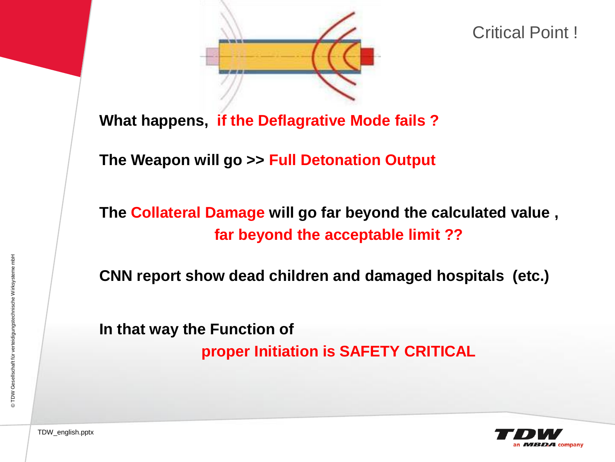

Critical Point !

**What happens, if the Deflagrative Mode fails ?**

**The Weapon will go >> Full Detonation Output**

**The Collateral Damage will go far beyond the calculated value , far beyond the acceptable limit ??**

**CNN report show dead children and damaged hospitals (etc.)**

**In that way the Function of**

**proper Initiation is SAFETY CRITICAL**

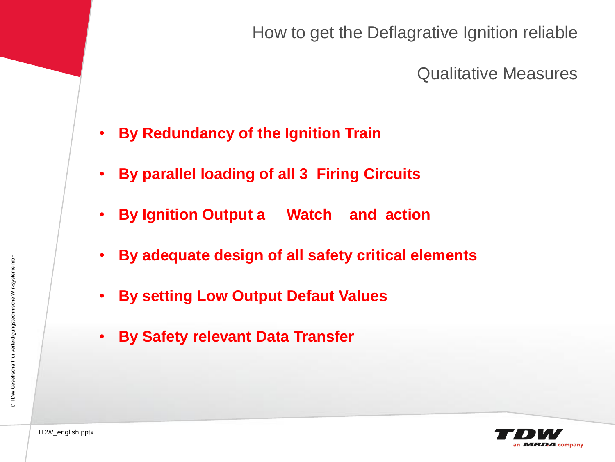How to get the Deflagrative Ignition reliable

Qualitative Measures

- **By Redundancy of the Ignition Train**
- **By parallel loading of all 3 Firing Circuits**
- **By Ignition Output a Watch and action**
- **By adequate design of all safety critical elements**
- **By setting Low Output Defaut Values**
- **By Safety relevant Data Transfer**



© TDW Gesellschaft für verteidigungstechnische Wirksysteme mbH © TDW Gesellschaft für verteidigungstechnische Wirksysteme mbH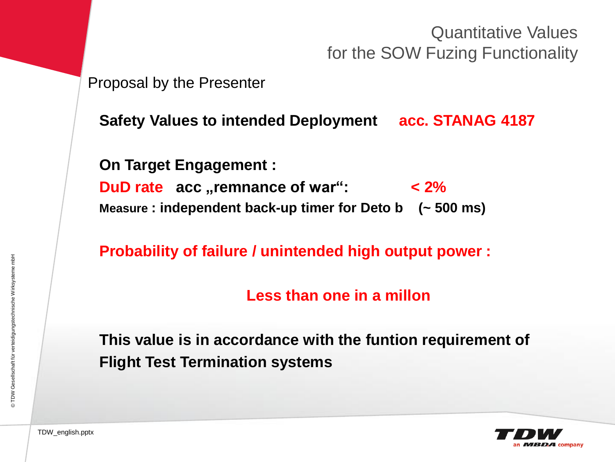Quantitative Values for the SOW Fuzing Functionality

#### Proposal by the Presenter

**Safety Values to intended Deployment acc. STANAG 4187**

**On Target Engagement :**

**DuD** rate acc **"remnance** of war":  $\leq 2\%$ **Measure : independent back-up timer for Deto b (~ 500 ms)**

**Probability of failure / unintended high output power :**

**Less than one in a millon**

**This value is in accordance with the funtion requirement of Flight Test Termination systems**

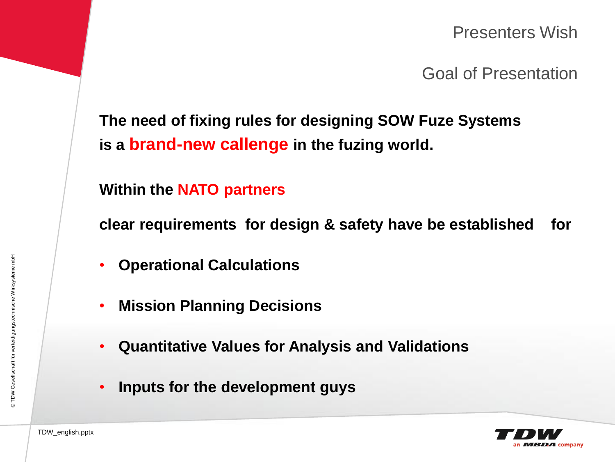Presenters Wish

Goal of Presentation

**The need of fixing rules for designing SOW Fuze Systems is a brand-new callenge in the fuzing world.**

**Within the NATO partners**

**clear requirements for design & safety have be established for**

- **Operational Calculations**
- **Mission Planning Decisions**
- **Quantitative Values for Analysis and Validations**
- **Inputs for the development guys**

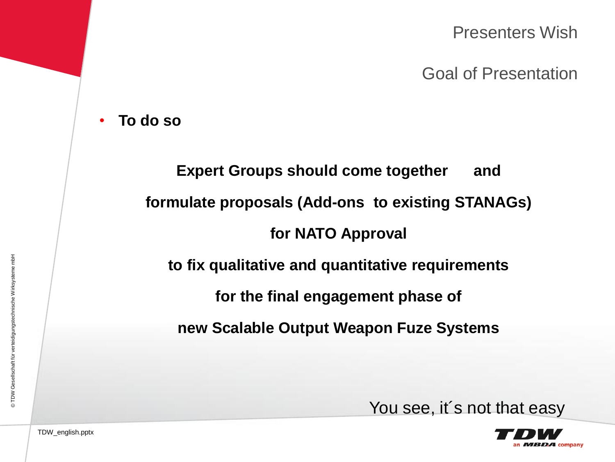Presenters Wish

Goal of Presentation

• **To do so**

# **Expert Groups should come together and formulate proposals (Add-ons to existing STANAGs) for NATO Approval to fix qualitative and quantitative requirements for the final engagement phase of new Scalable Output Weapon Fuze Systems**